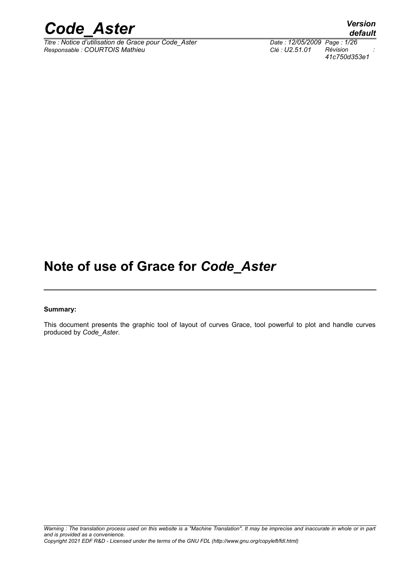

*Titre : Notice d'utilisation de Grace pour Code\_Aster Date : 12/05/2009 Page : 1/26*  $Responsible : COURTOIS Mathieu$ 

*default*<br>Date : 12/05/2009 Page : 1/26 *41c750d353e1*

### **Note of use of Grace for** *Code\_Aster*

#### **Summary:**

This document presents the graphic tool of layout of curves Grace, tool powerful to plot and handle curves produced by *Code\_Aster*.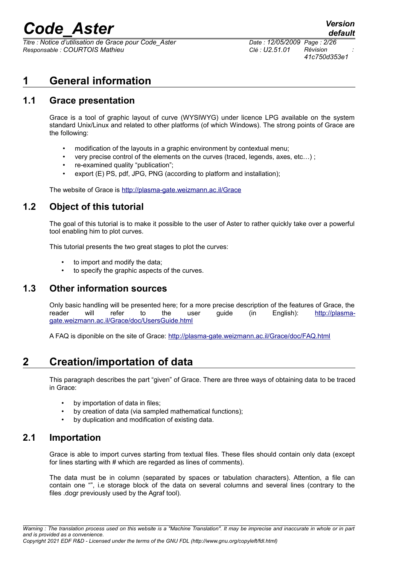*Titre : Notice d'utilisation de Grace pour Code\_Aster Date : 12/05/2009 Page : 2/26 Responsable : COURTOIS Mathieu Clé : U2.51.01 Révision :*

*41c750d353e1*

### **1 General information**

#### **1.1 Grace presentation**

Grace is a tool of graphic layout of curve (WYSIWYG) under licence LPG available on the system standard Unix/Linux and related to other platforms (of which Windows). The strong points of Grace are the following:

- modification of the layouts in a graphic environment by contextual menu;
- very precise control of the elements on the curves (traced, legends, axes, etc...);
- re-examined quality "publication";
- export (E) PS, pdf, JPG, PNG (according to platform and installation);

The website of Grace is<http://plasma-gate.weizmann.ac.il/Grace>

#### **1.2 Object of this tutorial**

The goal of this tutorial is to make it possible to the user of Aster to rather quickly take over a powerful tool enabling him to plot curves.

This tutorial presents the two great stages to plot the curves:

- to import and modify the data;
- to specify the graphic aspects of the curves.

#### **1.3 Other information sources**

Only basic handling will be presented here; for a more precise description of the features of Grace, the reader will refer to the user guide (in English): [http://plasma](http://plasma-gate.weizmann.ac.il/Grace/doc/UsersGuide.html)[gate.weizmann.ac.il/Grace/doc/UsersGuide.html](http://plasma-gate.weizmann.ac.il/Grace/doc/UsersGuide.html)

A FAQ is diponible on the site of Grace:<http://plasma-gate.weizmann.ac.il/Grace/doc/FAQ.html>

### **2 Creation/importation of data**

This paragraph describes the part "given" of Grace. There are three ways of obtaining data to be traced in Grace:

- by importation of data in files;
- by creation of data (via sampled mathematical functions);
- by duplication and modification of existing data.

#### **2.1 Importation**

Grace is able to import curves starting from textual files. These files should contain only data (except for lines starting with # which are regarded as lines of comments).

The data must be in column (separated by spaces or tabulation characters). Attention, a file can contain one "", i.e storage block of the data on several columns and several lines (contrary to the files .dogr previously used by the Agraf tool).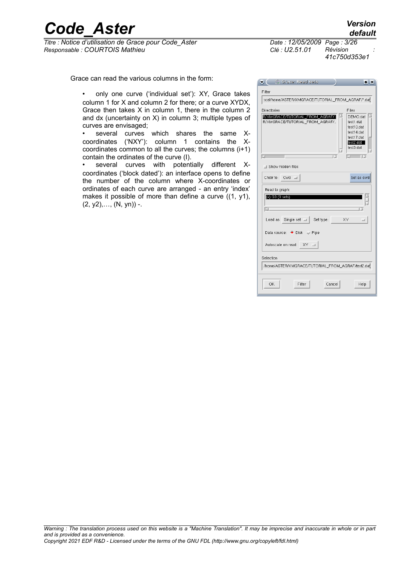*Titre : Notice d'utilisation de Grace pour Code\_Aster Date : 12/05/2009 Page : 3/26 Responsable : COURTOIS Mathieu Clé : U2.51.01 Révision :*

*default*

*41c750d353e1*

Grace can read the various columns in the form:

• only one curve ('individual set'): XY, Grace takes column 1 for X and column 2 for there; or a curve XYDX, Grace then takes X in column 1, there in the column 2 and dx (uncertainty on X) in column 3; multiple types of curves are envisaged;

• several curves which shares the same Xcoordinates ('NXY'): column 1 contains the Xcoordinates common to all the curves; the columns (i+1) contain the ordinates of the curve (I).

several curves with potentially different Xcoordinates ('block dated'): an interface opens to define the number of the column where X-coordinates or ordinates of each curve are arranged - an entry 'index' makes it possible of more than define a curve ((1, y1),  $(2, y2), \ldots, (N, yn)$  -.

| <b>Grace: Read sets</b><br>ШX                                                                                                                                                                              |  |  |  |  |
|------------------------------------------------------------------------------------------------------------------------------------------------------------------------------------------------------------|--|--|--|--|
| Filter                                                                                                                                                                                                     |  |  |  |  |
| )cal/home/ASTER/XMGRACE/TUTORIAL_FROM_AGRAF/*.dat                                                                                                                                                          |  |  |  |  |
| <b>Directories</b><br>Files<br>R/XMGRACE/TUTORIAL FROM AGRAF/.<br>DEMO.dat<br>R/XMGRACE/TUTORIAL_FROM_AGRAF/<br>test1.dat<br>test10.dat<br>test14.dat<br>test17.dat<br>test2.dat<br>test3.dat<br>IJΣ<br>12 |  |  |  |  |
| □ Show hidden files                                                                                                                                                                                        |  |  |  |  |
| Chdir to:<br>Set as cwd<br>$Cwd$ $\Box$                                                                                                                                                                    |  |  |  |  |
| Read to graph:                                                                                                                                                                                             |  |  |  |  |
| $(+)$ GO $(0$ sets)                                                                                                                                                                                        |  |  |  |  |
| a                                                                                                                                                                                                          |  |  |  |  |
| Single set $=$<br>Set type:<br>XY<br>Load as                                                                                                                                                               |  |  |  |  |
| Data source:<br>$\bullet$ Disk<br>Pipe                                                                                                                                                                     |  |  |  |  |
| XY.<br>Autoscale on read:<br>$\Box$                                                                                                                                                                        |  |  |  |  |
| Selection                                                                                                                                                                                                  |  |  |  |  |
| /home/ASTER/XMGRACE/TUTORIAL_FROM_AGRAF/test2.dat                                                                                                                                                          |  |  |  |  |
| OK<br>Filter<br>Cancel<br>Help                                                                                                                                                                             |  |  |  |  |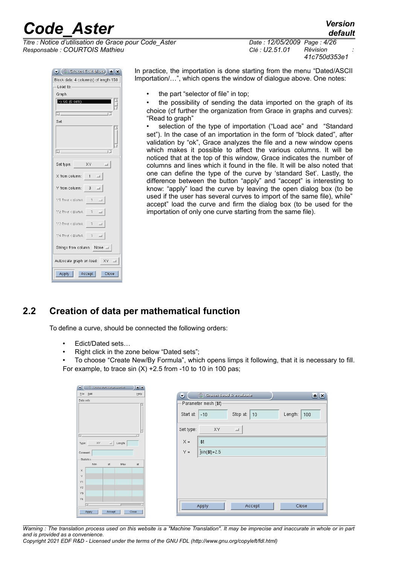*Titre : Notice d'utilisation de Grace pour Code\_Aster Date : 12/05/2009 Page : 4/26 Responsable : COURTOIS Mathieu Clé : U2.51.01 Révision :*

*41c750d353e1*

*default*

| a Grace: Edit block) A   X            |  |  |
|---------------------------------------|--|--|
| Block data: 4 column(s) of length 150 |  |  |
| Load to:                              |  |  |
| Graph:                                |  |  |
| (+) G0 (0 sets)                       |  |  |
| J                                     |  |  |
| Set:                                  |  |  |
|                                       |  |  |
|                                       |  |  |
|                                       |  |  |
| œ<br>31.                              |  |  |
|                                       |  |  |
| XY<br>Set type:<br>J                  |  |  |
| X from column:<br>1                   |  |  |
| Y from column:<br>3                   |  |  |
| Y1 from column.<br>ä,                 |  |  |
| Y2 from column.<br>ï                  |  |  |
| V3 from column.<br>q.                 |  |  |
| Y4 from column.<br>ä.                 |  |  |
| Strings from column: None             |  |  |
| Autoscale graph on load: XY<br>$\Box$ |  |  |
| Close<br>Apply<br>Accept              |  |  |

In practice, the importation is done starting from the menu "Dated/ASCII Importation/…", which opens the window of dialogue above. One notes:

the part "selector of file" in top:

the possibility of sending the data imported on the graph of its choice (cf further the organization from Grace in graphs and curves): "Read to graph"

selection of the type of importation ("Load ace" and "Standard set"). In the case of an importation in the form of "block dated", after validation by "ok", Grace analyzes the file and a new window opens which makes it possible to affect the various columns. It will be noticed that at the top of this window, Grace indicates the number of columns and lines which it found in the file. It will be also noted that one can define the type of the curve by 'standard Set'. Lastly, the difference between the button "apply" and "accept" is interesting to know: "apply" load the curve by leaving the open dialog box (to be used if the user has several curves to import of the same file), while" accept" load the curve and firm the dialog box (to be used for the importation of only one curve starting from the same file).

#### **2.2 Creation of data per mathematical function**

To define a curve, should be connected the following orders:

- Edict/Dated sets…
- Right click in the zone below "Dated sets";

• To choose "Create New/By Formula", which opens limps it following, that it is necessary to fill. For example, to trace  $sin(X) + 2.5$  from -10 to 10 in 100 pas;

| $\bullet$                  |              | States baia sei properiies |         | 国国    |
|----------------------------|--------------|----------------------------|---------|-------|
|                            | File Edit    |                            |         | Heip  |
| Data sets:                 |              |                            |         |       |
|                            |              |                            |         |       |
|                            |              |                            |         |       |
| $\overline{M}$             |              |                            |         | 12    |
| Type:                      | XY           | $\equiv$                   | Length: |       |
| Comment:                   |              |                            |         |       |
|                            | - Statistics |                            |         |       |
|                            | Min          | at                         | Max     | at    |
| $\boldsymbol{\times}$<br>v |              |                            |         |       |
| Y1                         |              |                            |         |       |
| Y2                         |              |                            |         |       |
| $\vee 3$                   |              |                            |         |       |
| $\forall$ 4                |              |                            |         |       |
|                            | KI.          |                            |         |       |
|                            | Apply        | Accept                     |         | Close |

*Warning : The translation process used on this website is a "Machine Translation". It may be imprecise and inaccurate in whole or in part and is provided as a convenience.*

*Copyright 2021 EDF R&D - Licensed under the terms of the GNU FDL (http://www.gnu.org/copyleft/fdl.html)*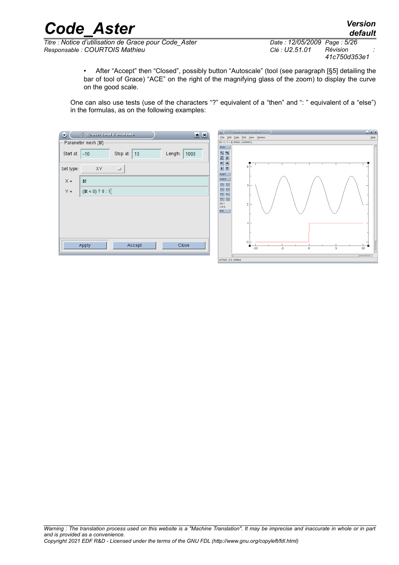| <b>Code Aster</b>                                     | <b>Version</b><br>default   |
|-------------------------------------------------------|-----------------------------|
| Titre : Notice d'utilisation de Grace pour Code Aster | Date: 12/05/2009 Page: 5/26 |

 $Responsible : COURTOIS Mathieu$ 

*Titre : Notice d'utilisation de Grace pour Code\_Aster Date : 12/05/2009 Page : 5/26 41c750d353e1*

• After "Accept" then "Closed", possibly button "Autoscale" (tool (see paragraph [§5] detailing the bar of tool of Grace) "ACE" on the right of the magnifying glass of the zoom) to display the curve on the good scale.

One can also use tests (use of the characters "?" equivalent of a "then" and ": " equivalent of a "else") in the formulas, as on the following examples:

| <b>AX</b><br>$\tau_{\rm{eff}}$<br>Graces Load & evaluate<br>◛ | $\bullet$<br><b>Sruca Unifiled (modified)</b><br>File Edit Data Plot View Window                                                      | $\Box$ $\triangle$ $\times$<br>Heip |
|---------------------------------------------------------------|---------------------------------------------------------------------------------------------------------------------------------------|-------------------------------------|
| -Parameter mesh (\$t)-                                        | G0: X, Y = [5,45862, 0,669951]                                                                                                        |                                     |
| Length:<br>Stop at:<br>Start at:<br>10<br>1000<br>$-10$       | Draw<br>$\begin{array}{c c}\n\hline\n\text{Q} & \text{Ag} \\ \hline\n\text{Z} & \text{Z} \\ \hline\n\text{L} & \text{J}\n\end{array}$ |                                     |
| XY.<br>Set type:<br>$\equiv$                                  | $\Delta$<br>$  \cdot  $ 1<br>AutoT                                                                                                    |                                     |
| $X =$<br>\$t                                                  | AutoO<br>$ZX$ $ZY$<br>$3 -$                                                                                                           |                                     |
| $($t < 0)$ ? $0 : 1]$<br>$Y =$                                | AX AY<br>$PZ$ $Pu$                                                                                                                    |                                     |
|                                                               | $Po$ $Cy$<br>SD:1<br>2 <sup>1</sup><br>CW:0                                                                                           |                                     |
|                                                               | Exit                                                                                                                                  |                                     |
|                                                               |                                                                                                                                       |                                     |
|                                                               | $\Omega$                                                                                                                              |                                     |
| Apply<br>Accept<br>Close                                      | $-5$<br>$-10$<br>$\mathbf 0$<br>5                                                                                                     | 10                                  |
|                                                               | cli70a9, :0.0, Untitled                                                                                                               |                                     |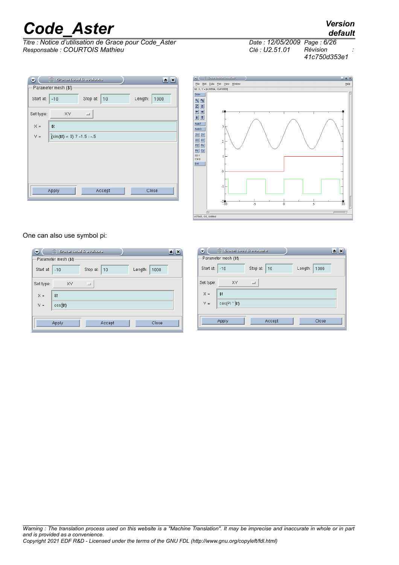*Titre : Notice d'utilisation de Grace pour Code\_Aster Date : 12/05/2009 Page : 6/26*  $Responsible : COURTOIS Mathieu$ 

# *41c750d353e1*

*default*

 $\mathbf{z}$ 





One can also use symbol pi:

| <b>Concertional &amp; evaluate</b><br>تا ک<br>3 |         |                 |                 |  |  |
|-------------------------------------------------|---------|-----------------|-----------------|--|--|
| Parameter mesh (\$t)                            |         |                 |                 |  |  |
| Start at: 1-10                                  |         | Stop at:<br> 10 | Length:<br>1000 |  |  |
| Set type:                                       | XY      | $\equiv$        |                 |  |  |
| $X =$                                           | \$t     |                 |                 |  |  |
| $Y =$                                           | cos@it) |                 |                 |  |  |
|                                                 |         |                 |                 |  |  |
| Apply<br>Accept<br>Close                        |         |                 |                 |  |  |

| ❤                    | <b>Single Structure Load &amp; evaluate</b> |                          | تا ک            |  |
|----------------------|---------------------------------------------|--------------------------|-----------------|--|
| Parameter mesh (\$t) |                                             |                          |                 |  |
| Start at:  -10       |                                             | Stop at:<br> 10          | Length:<br>1000 |  |
| Set type:            | - XY                                        | $\overline{\phantom{a}}$ |                 |  |
| $X =$                | \$t                                         |                          |                 |  |
| $Y =$                | cos(PI * ≸t)                                |                          |                 |  |
|                      |                                             |                          |                 |  |
|                      | Apply                                       | Accept                   | Close           |  |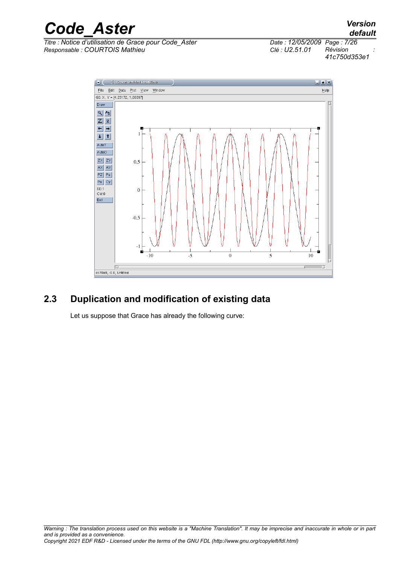*Code\_Aster Version default*

*Titre : Notice d'utilisation de Grace pour Code\_Aster Date : 12/05/2009 Page : 7/26*  $Responsible : COURTOIS Mathieu$ 

*41c750d353e1*



### **2.3 Duplication and modification of existing data**

Let us suppose that Grace has already the following curve: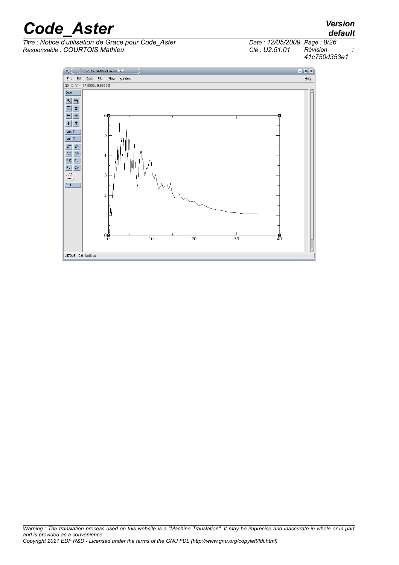*Titre : Notice d'utilisation de Grace pour Code\_Aster Date : 12/05/2009 Page : 8/26 Responsable : COURTOIS Mathieu Clé : U2.51.01 Révision :*





### *default*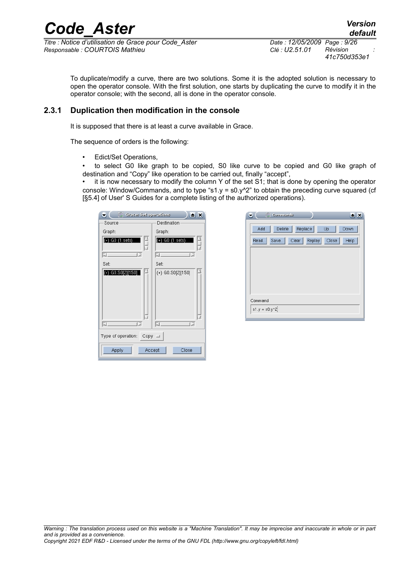*Titre : Notice d'utilisation de Grace pour Code\_Aster Date : 12/05/2009 Page : 9/26 Responsable : COURTOIS Mathieu Clé : U2.51.01 Révision :*

*default 41c750d353e1*

To duplicate/modify a curve, there are two solutions. Some it is the adopted solution is necessary to open the operator console. With the first solution, one starts by duplicating the curve to modify it in the operator console; with the second, all is done in the operator console.

#### **2.3.1 Duplication then modification in the console**

It is supposed that there is at least a curve available in Grace.

The sequence of orders is the following:

• Edict/Set Operations,

• to select G0 like graph to be copied, S0 like curve to be copied and G0 like graph of destination and "Copy" like operation to be carried out, finally "accept",

• it is now necessary to modify the column Y of the set S1; that is done by opening the operator console: Window/Commands, and to type "s1.y =  $s0.$ y $^2$ " to obtain the preceding curve squared (cf [§5.4] of User' S Guides for a complete listing of the authorized operations).

| <b>S</b> Grace: Set operations<br>$\triangle$ X |                     |  |  |  |
|-------------------------------------------------|---------------------|--|--|--|
| Source                                          | Destination         |  |  |  |
| Graph:                                          | Graph:              |  |  |  |
| $(+)$ GO $(1$ sets)                             | $(+)$ GO $(1$ sets) |  |  |  |
| Œ                                               |                     |  |  |  |
| Set:                                            | Set:                |  |  |  |
| (+) G0.S0[2][150]                               | $(+)$ G0.S0[2][150] |  |  |  |
|                                                 |                     |  |  |  |
| Type of operation:<br>$Copy \square$            |                     |  |  |  |
| Close<br>Apply<br>Accept                        |                     |  |  |  |

| <b>M</b> commands<br>e x                                |
|---------------------------------------------------------|
| Delete<br>Replace<br>Add<br>Down<br>Up                  |
| Clear<br>Replay<br><b>Read</b><br>Close<br>Save<br>Help |
|                                                         |
|                                                         |
|                                                         |
|                                                         |
| Command                                                 |
| $s1.y = s0.y^2$                                         |
|                                                         |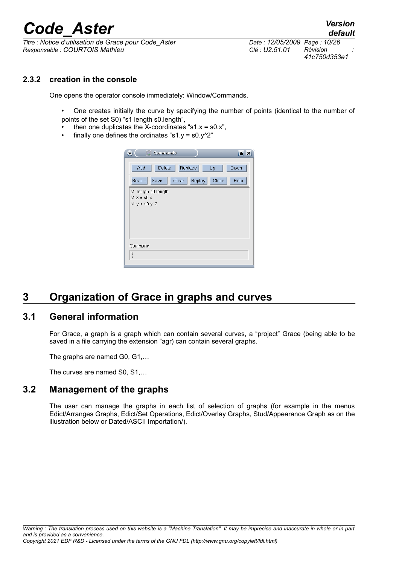*Titre : Notice d'utilisation de Grace pour Code\_Aster Date : 12/05/2009 Page : 10/26 Responsable : COURTOIS Mathieu Clé : U2.51.01 Révision :*

#### **2.3.2 creation in the console**

One opens the operator console immediately: Window/Commands.

- One creates initially the curve by specifying the number of points (identical to the number of points of the set S0) "s1 length s0.length",
- then one duplicates the X-coordinates "s1. $x = s0.x$ ",
- finally one defines the ordinates "s1.y =  $s0.\gamma^2$ "

| <b>Commands</b><br>ΘB                                 |
|-------------------------------------------------------|
| Delete<br>Replace<br>Add<br>Up<br>Down                |
| Clear<br>Replay<br>Close<br>Read<br>Save.<br>Help     |
| s1 length s0.length<br>$s1x = s0x$<br>$s1.y = s0.y^2$ |
| Command                                               |
| ;……<                                                  |

### **3 Organization of Grace in graphs and curves**

#### **3.1 General information**

For Grace, a graph is a graph which can contain several curves, a "project" Grace (being able to be saved in a file carrying the extension "agr) can contain several graphs.

The graphs are named G0, G1,…

The curves are named S0, S1,…

#### **3.2 Management of the graphs**

The user can manage the graphs in each list of selection of graphs (for example in the menus Edict/Arranges Graphs, Edict/Set Operations, Edict/Overlay Graphs, Stud/Appearance Graph as on the illustration below or Dated/ASCII Importation/).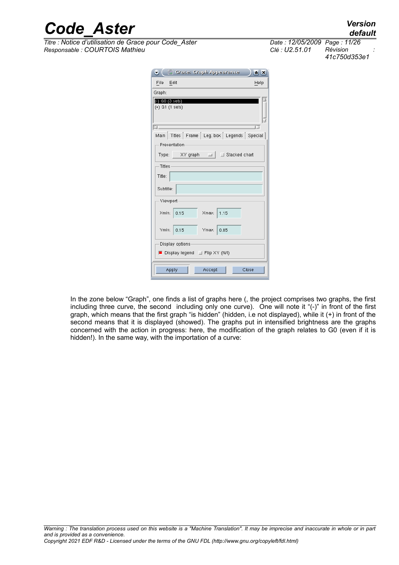*Titre : Notice d'utilisation de Grace pour Code\_Aster Date : 12/05/2009 Page : 11/26 Responsable : COURTOIS Mathieu Clé : U2.51.01 Révision :*

| C Grace: Graph Appearance                                            | $\mathbf{a}$ $\mathbf{x}$ |  |  |  |
|----------------------------------------------------------------------|---------------------------|--|--|--|
| Edit<br>File                                                         | Help                      |  |  |  |
| Graph:                                                               |                           |  |  |  |
| $(-)$ GO $(3 \text{ sets})$<br>(+) G1 (1 sets)                       |                           |  |  |  |
|                                                                      | ß                         |  |  |  |
| Main   Titles   Frame   Leg. box   Legends   Special<br>Presentation |                           |  |  |  |
| XY graph<br>$\Box$ $\Box$ Stacked chart<br>Type:                     |                           |  |  |  |
| - Titles                                                             |                           |  |  |  |
| Title:                                                               |                           |  |  |  |
| Subtitle:                                                            |                           |  |  |  |
| Viewport                                                             |                           |  |  |  |
| 1.15<br>Xmin:<br>Xmax:<br>0.15                                       |                           |  |  |  |
| Ymin:<br>0.15<br>Ymax:<br>0.85                                       |                           |  |  |  |
| Display options<br>■ Display legend ■ Flip XY (N/I)                  |                           |  |  |  |
| Apply<br>Accept                                                      | Close                     |  |  |  |

*41c750d353e1*

*default*

In the zone below "Graph", one finds a list of graphs here (, the project comprises two graphs, the first including three curve, the second including only one curve). One will note it "(-)" in front of the first graph, which means that the first graph "is hidden" (hidden, i.e not displayed), while it (+) in front of the second means that it is displayed (showed). The graphs put in intensified brightness are the graphs concerned with the action in progress: here, the modification of the graph relates to G0 (even if it is hidden!). In the same way, with the importation of a curve: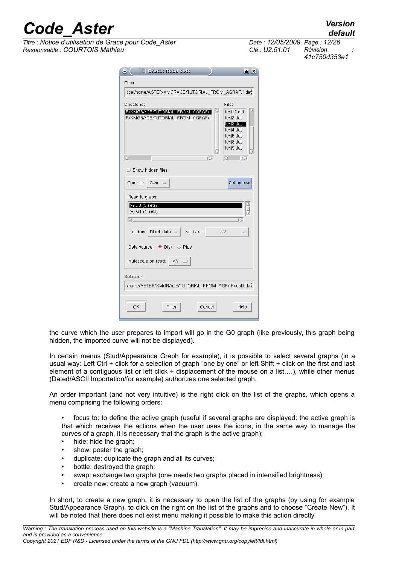*Titre : Notice d'utilisation de Grace pour Code Aster Responsable : COURTOIS Mathieu Clé : U2.51.01 Révision :*

|                                | --------     |
|--------------------------------|--------------|
| Date : 12/05/2009 Page : 12/26 |              |
| Clé : U2.51.01                 | Révision     |
|                                | 41c750d353e1 |

*default*

| )cal/home/ASTER/XMGRACE/TUTORIAL_FROM_AGRAF/*.dat                                            |                                                                                                          |  |
|----------------------------------------------------------------------------------------------|----------------------------------------------------------------------------------------------------------|--|
| Directories<br>R/XMGRACE/TUTORIAL FROM AGRAF/.<br>R/XMGRACE/TUTORIAL FROM AGRAF/<br>12<br>21 | Files<br>test17.dat<br>test2.dat<br>test3.dat<br>test4.dat<br>test5.dat<br>test8.dat<br>test9.dat<br>IJΣ |  |
| ⊿ Show hidden files                                                                          |                                                                                                          |  |
| Chdir to:<br>$Cwd$ $\Box$                                                                    | Set as cwd                                                                                               |  |
| Read to graph:                                                                               |                                                                                                          |  |
| $(-)$ GO $(3 \text{ sets})$<br>$(+)$ G1 $(1$ sets)<br>J.                                     |                                                                                                          |  |
| Load as Block data ⊒r<br>Sei typer                                                           | ן<br>$\overline{\phantom{0}}$                                                                            |  |
| Data source: ◆ Disk<br>$\sim$ Pipe                                                           |                                                                                                          |  |
| Autoscale on read: XY =                                                                      |                                                                                                          |  |
| Selection                                                                                    |                                                                                                          |  |
| /home/ASTER/XMGRACE/TUTORIAL_FROM_AGRAF/test3.dat                                            |                                                                                                          |  |

the curve which the user prepares to import will go in the G0 graph (like previously, this graph being hidden, the imported curve will not be displayed).

In certain menus (Stud/Appearance Graph for example), it is possible to select several graphs (in a usual way: Left Ctrl + click for a selection of graph "one by one" or left Shift + click on the first and last element of a contiguous list or left click + displacement of the mouse on a list….), while other menus (Dated/ASCII Importation/for example) authorizes one selected graph.

An order important (and not very intuitive) is the right click on the list of the graphs, which opens a menu comprising the following orders:

• focus to: to define the active graph (useful if several graphs are displayed: the active graph is that which receives the actions when the user uses the icons, in the same way to manage the curves of a graph, it is necessary that the graph is the active graph);

- hide: hide the graph;
- show: poster the graph;
- duplicate: duplicate the graph and all its curves;
- bottle: destroved the graph:
- swap: exchange two graphs (one needs two graphs placed in intensified brightness);
- create new: create a new graph (vacuum).

In short, to create a new graph, it is necessary to open the list of the graphs (by using for example Stud/Appearance Graph), to click on the right on the list of the graphs and to choose "Create New"). It will be noted that there does not exist menu making it possible to make this action directly.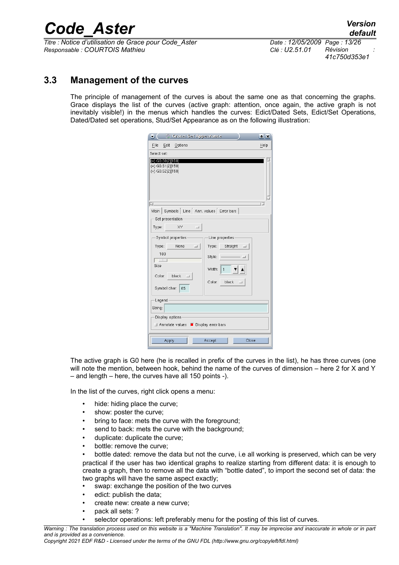*Titre : Notice d'utilisation de Grace pour Code\_Aster Date : 12/05/2009 Page : 13/26 Responsable : COURTOIS Mathieu Clé : U2.51.01 Révision :*

*41c750d353e1*

#### **3.3 Management of the curves**

The principle of management of the curves is about the same one as that concerning the graphs. Grace displays the list of the curves (active graph: attention, once again, the active graph is not inevitably visible!) in the menus which handles the curves: Edict/Dated Sets, Edict/Set Operations, Dated/Dated set operations, Stud/Set Appearance as on the following illustration:

| <b>M</b> Grace: Set Appearance<br>U                                                                                     |                                                                                             | $\blacksquare$ |
|-------------------------------------------------------------------------------------------------------------------------|---------------------------------------------------------------------------------------------|----------------|
| Edit<br>Options<br>File                                                                                                 |                                                                                             | Help           |
| Select set:                                                                                                             |                                                                                             |                |
| $(+)$ G0.S0[2][150]<br>(+) G0.S1[2][150]<br>(+) G0.S2[2][150]                                                           |                                                                                             |                |
| Main   Symbols   Line   Ann. values   Error bars  <br>Set presentation<br>XY<br>Type:<br>ᅼ                              |                                                                                             | La             |
|                                                                                                                         |                                                                                             |                |
| Symbol properties-<br>None<br>Type:<br>⊐<br>100<br>$\blacksquare$<br>Size<br>black<br>Color:<br>車<br>Symbol char:<br>65 | -Line properties<br>Straight<br>Type:<br>$\Box$<br>Style:<br>Width:<br>1<br>Color:<br>black |                |
| Legend<br>String:<br>Display options<br>□ Annotate values ■ Display error bars                                          |                                                                                             |                |
| Apply                                                                                                                   | Close<br>Accept                                                                             |                |

The active graph is G0 here (he is recalled in prefix of the curves in the list), he has three curves (one will note the mention, between hook, behind the name of the curves of dimension – here 2 for X and Y – and length – here, the curves have all 150 points -).

In the list of the curves, right click opens a menu:

- hide: hiding place the curve;
- show: poster the curve;
- bring to face: mets the curve with the foreground;
- send to back: mets the curve with the background;
- duplicate: duplicate the curve;
- bottle: remove the curve;

bottle dated: remove the data but not the curve, i.e all working is preserved, which can be very practical if the user has two identical graphs to realize starting from different data: it is enough to create a graph, then to remove all the data with "bottle dated", to import the second set of data: the two graphs will have the same aspect exactly;

- swap: exchange the position of the two curves
- edict: publish the data;
- create new: create a new curve;
- pack all sets: ?
- selector operations: left preferably menu for the posting of this list of curves.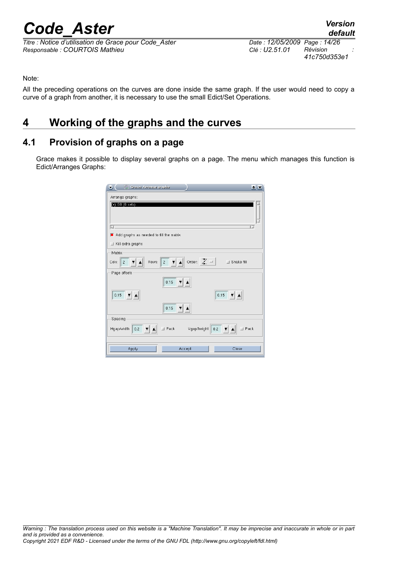*Titre : Notice d'utilisation de Grace pour Code\_Aster Date : 12/05/2009 Page : 14/26 Responsable : COURTOIS Mathieu Clé : U2.51.01 Révision :*

Note:

All the preceding operations on the curves are done inside the same graph. If the user would need to copy a curve of a graph from another, it is necessary to use the small Edict/Set Operations.

### **4 Working of the graphs and the curves**

### **4.1 Provision of graphs on a page**

Grace makes it possible to display several graphs on a page. The menu which manages this function is Edict/Arranges Graphs:

| <b>Concert Arrange graphs</b><br>$\triangle$ $\triangleright$                                     |  |
|---------------------------------------------------------------------------------------------------|--|
| Arrange graphs:                                                                                   |  |
| $(+)$ GO $(0$ sets)                                                                               |  |
|                                                                                                   |  |
|                                                                                                   |  |
| IJ.<br>œ                                                                                          |  |
| Add graphs as needed to fill the matrix                                                           |  |
| □ Kill extra graphs                                                                               |  |
| -Matrix-                                                                                          |  |
| Order: $\mathcal{Z} =$<br>Rows: $2 \nabla$<br>Cols:<br>Snake fill<br>2                            |  |
| Page offsets                                                                                      |  |
| 0.15<br>Y A                                                                                       |  |
| 0.15<br>0.15<br>v                                                                                 |  |
| 0.15                                                                                              |  |
| Spacing                                                                                           |  |
| $0.2$ $\mathbf{V}$ $\mathbf{A}$<br>0.2<br>$\Box$ Pack<br>Vgap/height<br>$\Box$ Pack<br>Hgap/width |  |
| Close<br>Apply<br>Accept                                                                          |  |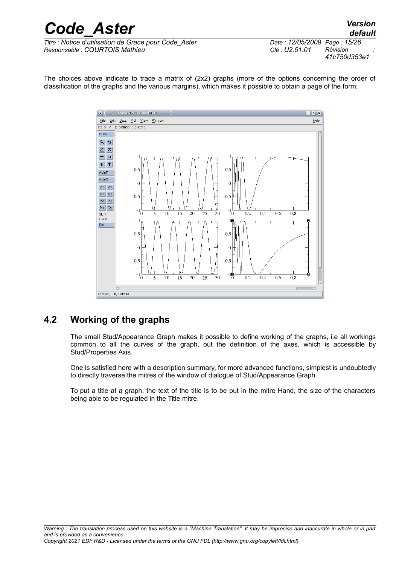*Titre : Notice d'utilisation de Grace pour Code\_Aster Date : 12/05/2009 Page : 15/26 Responsable : COURTOIS Mathieu Clé : U2.51.01 Révision :*

*41c750d353e1*

The choices above indicate to trace a matrix of (2x2) graphs (more of the options concerning the order of classification of the graphs and the various margins), which makes it possible to obtain a page of the form:



#### **4.2 Working of the graphs**

The small Stud/Appearance Graph makes it possible to define working of the graphs, i.e all workings common to all the curves of the graph, out the definition of the axes, which is accessible by Stud/Properties Axis.

One is satisfied here with a description summary, for more advanced functions, simplest is undoubtedly to directly traverse the mitres of the window of dialogue of Stud/Appearance Graph.

To put a title at a graph, the text of the title is to be put in the mitre Hand, the size of the characters being able to be regulated in the Title mitre.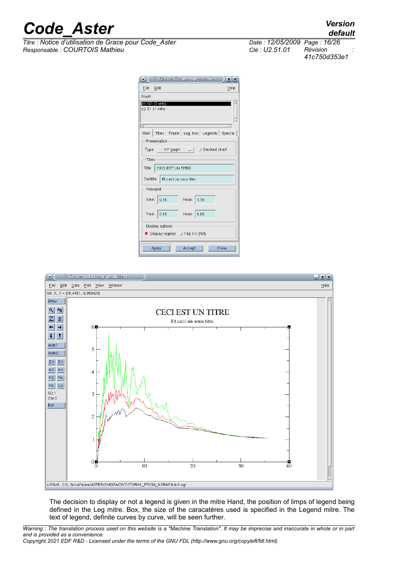$\overline{T}$ itre : Notice d'utilisation de Grace pour Code\_Aster *Responsable : COURTOIS Mathieu Clé : U2.51.01 Révision :*

|                              | default      |
|------------------------------|--------------|
| Date: 12/05/2009 Page: 16/26 |              |
| Clé : U2.51.01               | Révision     |
|                              | 41c750d353e1 |

| C Grace: Graph Appearance<br>l≙ i×                        |  |  |
|-----------------------------------------------------------|--|--|
| File<br>Edit<br>Help                                      |  |  |
| Graph:                                                    |  |  |
| $(+)$ GO $(3 \text{ sets})$<br>(-) G1 (1 sets)            |  |  |
| œ                                                         |  |  |
| Main Titles Frame Leg.box Legends Special<br>Presentation |  |  |
|                                                           |  |  |
| Type: XY graph =   □ Stacked chart                        |  |  |
| Titles                                                    |  |  |
| CECI EST UN TITRE<br>Title: I                             |  |  |
| Subtitle: Et ceci un sous titre                           |  |  |
| Viewport-                                                 |  |  |
| Xmax: 1.15<br>Xmin:<br>0.15                               |  |  |
| Ymin:<br>Ymax:<br>0.15<br>0.85                            |  |  |
| Display options<br>■ Display legend ■ Flip XY (N/I)       |  |  |
| Apply<br>Accept<br>Close                                  |  |  |



The decision to display or not a legend is given in the mitre Hand, the position of limps of legend being defined in the Leg mitre. Box, the size of the caracatères used is specified in the Legend mitre. The text of legend, definite curves by curve, will be seen further.

*Warning : The translation process used on this website is a "Machine Translation". It may be imprecise and inaccurate in whole or in part and is provided as a convenience. Copyright 2021 EDF R&D - Licensed under the terms of the GNU FDL (http://www.gnu.org/copyleft/fdl.html)*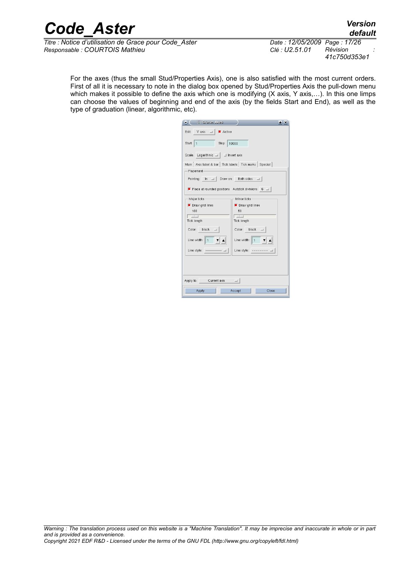| <b>Code Aster</b> | <b>Version</b> |
|-------------------|----------------|
|                   | default        |

*Titre : Notice d'utilisation de Grace pour Code\_Aster Date : 12/05/2009 Page : 17/26 Responsable : COURTOIS Mathieu Clé : U2.51.01 Révision :*

*41c750d353e1*

For the axes (thus the small Stud/Properties Axis), one is also satisfied with the most current orders. First of all it is necessary to note in the dialog box opened by Stud/Properties Axis the pull-down menu which makes it possible to define the axis which one is modifying (X axis, Y axis,...). In this one limps can choose the values of beginning and end of the axis (by the fields Start and End), as well as the type of graduation (linear, algorithmic, etc).

| <b>M</b> Grace: Axes<br>l≙∏×<br>×.                                                             |  |  |
|------------------------------------------------------------------------------------------------|--|--|
| Edit: Yaxis = FActive                                                                          |  |  |
| Start:   1<br>Stop: 10000                                                                      |  |  |
| Scale: Logarithmic =   I Invert axis                                                           |  |  |
| Main   Axis label & bar   Tick labels   Tick marks   Special  <br>Placement-                   |  |  |
| Pointing: In $\Box$ Draw on: Both sides $\Box$                                                 |  |  |
| Place at rounded positions Autotick divisions $\begin{bmatrix} 6 & \underline{\ \end{bmatrix}$ |  |  |
| -Minor ticks-<br>-Major ticks -                                                                |  |  |
| ■ Draw grid lines<br>Draw grid lines                                                           |  |  |
| 100<br>50                                                                                      |  |  |
| <b>Talento</b><br><b>The Common</b><br><b>Tick length</b><br><b>Tick length</b>                |  |  |
| Color: black =<br>Color: black                                                                 |  |  |
| Line width:<br>Line width:<br>$\overline{1}$<br>$\overline{1}$                                 |  |  |
| Line style:<br>Line style:                                                                     |  |  |
|                                                                                                |  |  |
|                                                                                                |  |  |
| Apply to: Current axis<br>$\lnot$                                                              |  |  |
| Apply<br>Close<br>Accept                                                                       |  |  |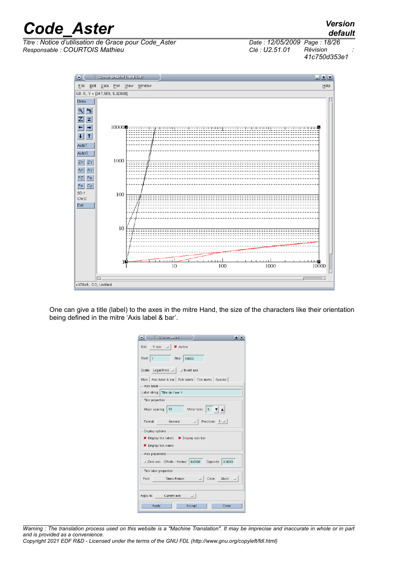*Titre : Notice d'utilisation de Grace pour Code\_Aster Date : 12/05/2009 Page : 18/26*  $Responsible : COURTOIS Mathieu$ 

*41c750d353e1*



One can give a title (label) to the axes in the mitre Hand, the size of the characters like their orientation being defined in the mitre 'Axis label & bar'.

| C Grace: Axes<br>l≙∐×<br>$\bullet$                                            |  |  |
|-------------------------------------------------------------------------------|--|--|
| Y axis $\equiv$   E Active<br>Edit:                                           |  |  |
| Stop:<br>Start:   1<br>10000                                                  |  |  |
| Scale: Logarithmic =   I Invert axis                                          |  |  |
| Main   Axis label & bar   Tick labels   Tick marks   Special  <br>Axis label- |  |  |
| Label string: Titre de l'axe Y                                                |  |  |
| Tick properties                                                               |  |  |
| Minor ticks:<br>Major spacing:<br>10<br>9                                     |  |  |
| Precision: $5 =$<br>Format:<br>General<br>┙╹                                  |  |  |
| Display options                                                               |  |  |
| Display tick labels Display axis bar                                          |  |  |
| $\blacksquare$ Display tick marks                                             |  |  |
| Axis placement                                                                |  |  |
| Zero axis Offsets - Normal:<br>Opposite:  <br>0.0000<br>0.0000                |  |  |
| Tick label properties-                                                        |  |  |
| Font:<br>Times-Roman<br>Color:<br>black<br>$\blacksquare$<br>ü                |  |  |
|                                                                               |  |  |
| Apply to: Current axis<br>$\equiv$                                            |  |  |
| Close<br>Apply<br>Accept                                                      |  |  |

*Warning : The translation process used on this website is a "Machine Translation". It may be imprecise and inaccurate in whole or in part and is provided as a convenience. Copyright 2021 EDF R&D - Licensed under the terms of the GNU FDL (http://www.gnu.org/copyleft/fdl.html)*

### *default*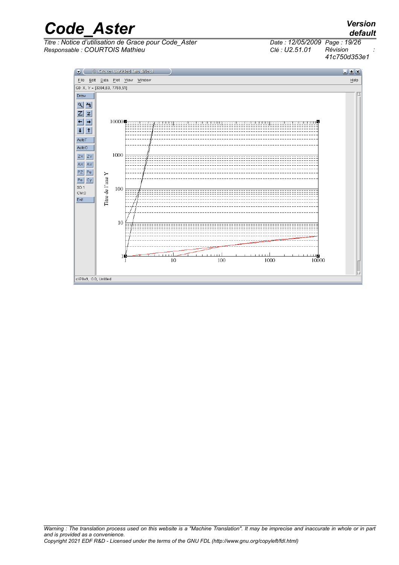*Code\_Aster Version default*

*Titre : Notice d'utilisation de Grace pour Code\_Aster Date : 12/05/2009 Page : 19/26*  $Responsible : COURTOIS Mathieu$ 



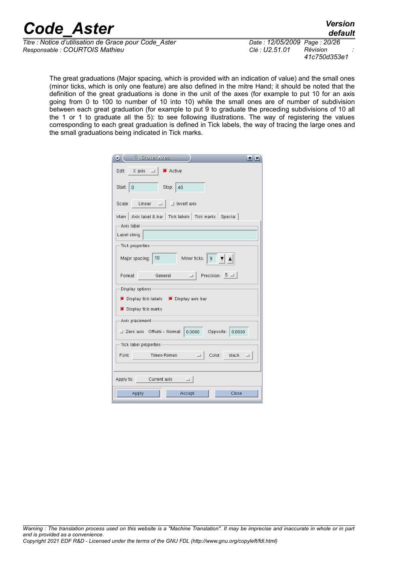*Titre : Notice d'utilisation de Grace pour Code\_Aster Date : 12/05/2009 Page : 20/26 Responsable : COURTOIS Mathieu Clé : U2.51.01 Révision :*

*41c750d353e1*

*default*

The great graduations (Major spacing, which is provided with an indication of value) and the small ones (minor ticks, which is only one feature) are also defined in the mitre Hand; it should be noted that the definition of the great graduations is done in the unit of the axes (for example to put 10 for an axis going from 0 to 100 to number of 10 into 10) while the small ones are of number of subdivision between each great graduation (for example to put 9 to graduate the preceding subdivisions of 10 all the 1 or 1 to graduate all the 5): to see following illustrations. The way of registering the values corresponding to each great graduation is defined in Tick labels, the way of tracing the large ones and the small graduations being indicated in Tick marks.

| <b>Grace: Axes</b><br>la X                                   |
|--------------------------------------------------------------|
| X axis<br>Edit:<br>Active<br>$\Box$                          |
| Start:<br>Stop:<br>0<br>40                                   |
| Linear $\equiv$<br>$\Box$ Invert axis<br>Scale:              |
| Main   Axis label & bar   Tick labels   Tick marks   Special |
| Axis label-                                                  |
| Label string:                                                |
| Tick properties                                              |
| Minor ticks:<br>10<br>Major spacing:<br>9                    |
| Format:<br>Precision: $5 \equiv$<br>General                  |
| Display options-                                             |
| ■ Display tick labels ■ Display axis bar                     |
| Display tick marks                                           |
| Axis placement-                                              |
| Zero axis Offsets - Normal:<br>0.0000<br>0.0000<br>Opposite: |
| Tick label properties-                                       |
| Font:<br>Color:<br>black.<br>Times-Roman<br>$\Box$           |
| Apply to:<br>Current axis                                    |
| Apply<br>Close<br>Accept                                     |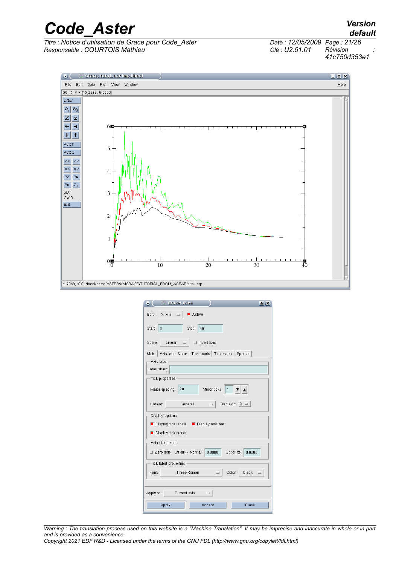*Titre : Notice d'utilisation de Grace pour Code\_Aster Date : 12/05/2009 Page : 21/26*  $Responsible : COURTOIS Mathieu$ 

*41c750d353e1*



| <b>Grace: Axes</b><br>$\triangle$ $\parallel$ $\times$           |
|------------------------------------------------------------------|
| X axis<br>Edit:<br>$\blacksquare$ Active<br>$\Box$               |
| Stop:  <br>Start:<br>0<br>40                                     |
| Linear $=$ $\vert$<br>$\Box$ Invert axis<br>Scale:               |
| Main   Axis label & bar   Tick labels   Tick marks   Special     |
| Axis label-                                                      |
| Label string:                                                    |
| Tick properties                                                  |
| Minor ticks:<br>20<br>Major spacing:<br>1                        |
| Precision: $5 \equiv$<br>Format:<br>General                      |
| Display options-                                                 |
| ■ Display tick labels ■ Display axis bar                         |
| $\blacksquare$ Display tick marks                                |
| Axis placement-                                                  |
| □ Zero axis Offsets - Normal:  <br>Opposite:<br>0.0000<br>0.0000 |
| Tick label properties-                                           |
| Font:<br>black<br>Times-Roman<br>Color:                          |
|                                                                  |
| Apply to:<br>Current axis<br>三                                   |
| Apply<br>Accept<br>Close                                         |

*Warning : The translation process used on this website is a "Machine Translation". It may be imprecise and inaccurate in whole or in part and is provided as a convenience. Copyright 2021 EDF R&D - Licensed under the terms of the GNU FDL (http://www.gnu.org/copyleft/fdl.html)*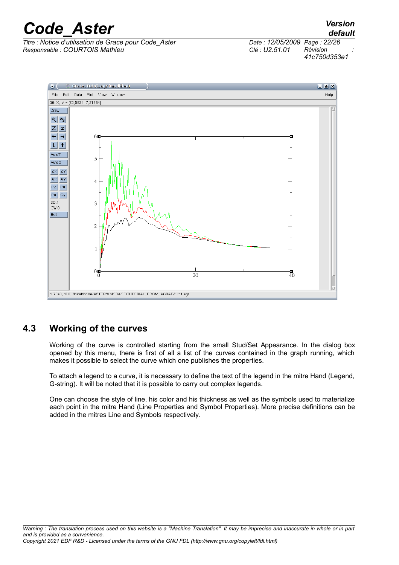*Titre : Notice d'utilisation de Grace pour Code\_Aster Date : 12/05/2009 Page : 22/26 Responsable : COURTOIS Mathieu Clé : U2.51.01 Révision :*





#### **4.3 Working of the curves**

Working of the curve is controlled starting from the small Stud/Set Appearance. In the dialog box opened by this menu, there is first of all a list of the curves contained in the graph running, which makes it possible to select the curve which one publishes the properties.

To attach a legend to a curve, it is necessary to define the text of the legend in the mitre Hand (Legend, G-string). It will be noted that it is possible to carry out complex legends.

One can choose the style of line, his color and his thickness as well as the symbols used to materialize each point in the mitre Hand (Line Properties and Symbol Properties). More precise definitions can be added in the mitres Line and Symbols respectively.

*default*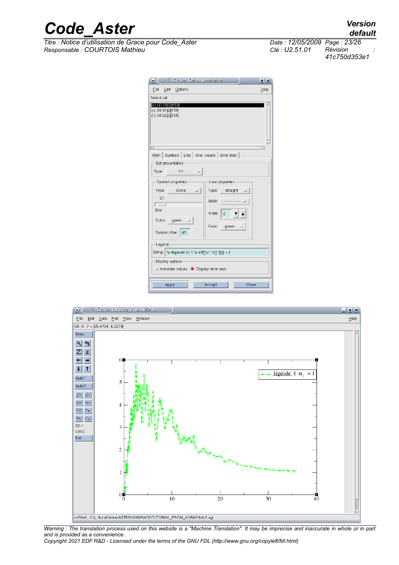$\overline{T}$ itre : Notice d'utilisation de Grace pour Code\_Aster *Responsable : COURTOIS Mathieu Clé : U2.51.01 Révision :*

|                              | default      |
|------------------------------|--------------|
| Date: 12/05/2009 Page: 23/26 |              |
| Clé : U2.51.01               | Révision     |
|                              | 41c750d353e1 |

| $\mathbb{Z}$<br>Grace: Set Appearance<br>◛                      |                               | تا کا |
|-----------------------------------------------------------------|-------------------------------|-------|
| Edit Options<br>File                                            |                               | Help  |
| Select set:                                                     |                               |       |
| $(+)$ G0.S0[2][150]<br>$(-)$ G0.S1[2][150]<br>(-) G0.S2[2][150] |                               |       |
|                                                                 |                               |       |
| Main   Symbols   Line   Ann. values   Error bars                |                               |       |
| Set presentation                                                |                               |       |
| XY<br>Type:<br>三                                                |                               |       |
| Symbol properties                                               | -Line properties              |       |
| Circle<br>Type:                                                 | Straight<br>Type:<br>$\equiv$ |       |
| 57                                                              | Style:                        |       |
| $\blacksquare$<br>Size                                          |                               |       |
|                                                                 | Width:<br>2                   |       |
| green<br>Color:<br>$\equiv$                                     | Color:<br>green               |       |
| Symbol char:<br>65                                              |                               |       |
| Legend                                                          |                               |       |
| String:   \u légende \U 1 \x a\f{}\s1 \v{} \x {} - 1            |                               |       |
| Display options                                                 |                               |       |
| □ Annotate values ■ Display error bars                          |                               |       |
|                                                                 |                               |       |
| Apply                                                           | Accept<br>Close               |       |



*Warning : The translation process used on this website is a "Machine Translation". It may be imprecise and inaccurate in whole or in part and is provided as a convenience.*

*Copyright 2021 EDF R&D - Licensed under the terms of the GNU FDL (http://www.gnu.org/copyleft/fdl.html)*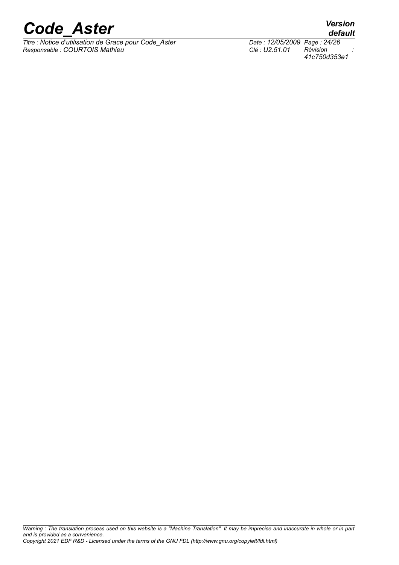

*Titre : Notice d'utilisation de Grace pour Code\_Aster Date : 12/05/2009 Page : 24/26 Responsable : COURTOIS Mathieu Clé : U2.51.01 Révision :*

*41c750d353e1*

*default*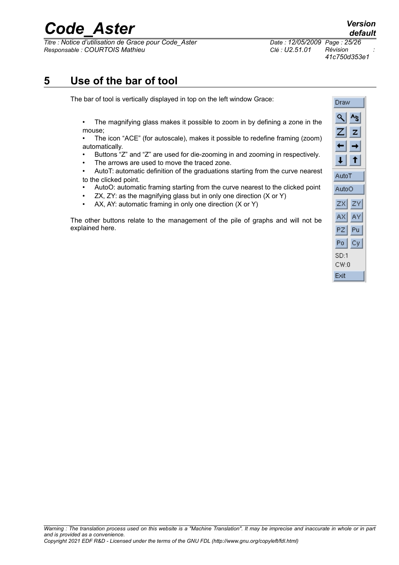*Titre : Notice d'utilisation de Grace pour Code\_Aster Date : 12/05/2009 Page : 25/26* **Responsable : COURTOIS Mathieu**  $\overline{C}$  **<b>Clé** : *Clé : U2.51.01 Clé : U2.51.01* 

*41c750d353e1*

### **5 Use of the bar of tool**

The bar of tool is vertically displayed in top on the left window Grace:

- The magnifying glass makes it possible to zoom in by defining a zone in the mouse;
- The icon "ACE" (for autoscale), makes it possible to redefine framing (zoom) automatically.
- Buttons "Z" and "Z" are used for die-zooming in and zooming in respectively.
- The arrows are used to move the traced zone.

• AutoT: automatic definition of the graduations starting from the curve nearest to the clicked point.

- AutoO: automatic framing starting from the curve nearest to the clicked point
- ZX, ZY: as the magnifying glass but in only one direction (X or Y)
- AX, AY: automatic framing in only one direction (X or Y)

The other buttons relate to the management of the pile of graphs and will not be explained here.



### *default*